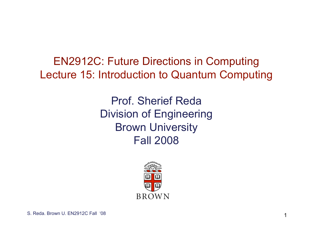EN2912C: Future Directions in Computing Lecture 15: Introduction to Quantum Computing

> Prof. Sherief Reda Division of Engineering Brown University Fall 2008

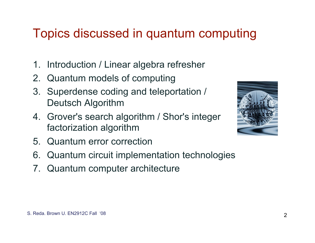# Topics discussed in quantum computing

- 1. Introduction / Linear algebra refresher
- 2. Quantum models of computing
- 3. Superdense coding and teleportation / Deutsch Algorithm
- 4. Grover's search algorithm / Shor's integer factorization algorithm
- 5. Quantum error correction
- 6. Quantum circuit implementation technologies
- 7. Quantum computer architecture

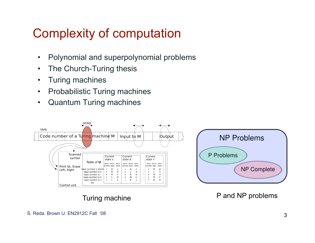## Complexity of computation

- Polynomial and superpolynomial problems
- The Church-Turing thesis
- Turing machines
- Probabilistic Turing machines
- Quantum Turing machines



Turing machine **P** and NP problems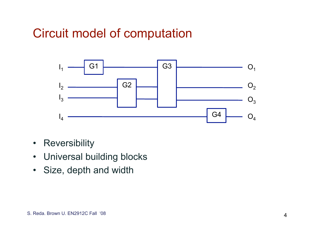## Circuit model of computation



- Reversibility
- Universal building blocks
- Size, depth and width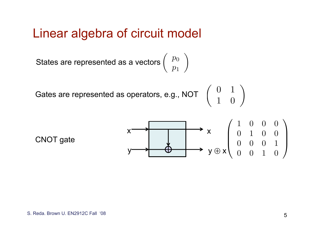#### Linear algebra of circuit model

 $\int p_0$ *p*1 " States are represented as a vectors

Gates are represented as operators, e.g., NOT  $\left(\begin{array}{cc} 0 & 1\ 1 & 0 \end{array}\right)$ 

CNOT gate

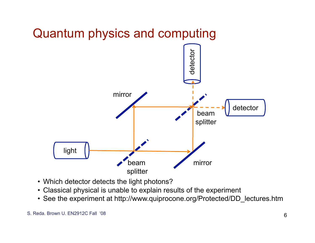

- Which detector detects the light photons?
- Classical physical is unable to explain results of the experiment
- See the experiment at http://www.quiprocone.org/Protected/DD\_lectures.htm